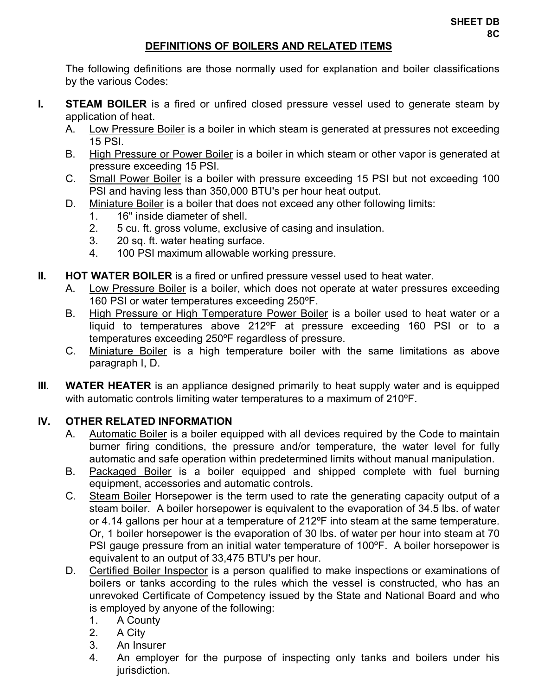## **DEFINITIONS OF BOILERS AND RELATED ITEMS**

 The following definitions are those normally used for explanation and boiler classifications by the various Codes:

- **I.** STEAM BOILER is a fired or unfired closed pressure vessel used to generate steam by application of heat.
	- A. Low Pressure Boiler is a boiler in which steam is generated at pressures not exceeding 15 PSI.
	- B. High Pressure or Power Boiler is a boiler in which steam or other vapor is generated at pressure exceeding 15 PSI.
	- C. Small Power Boiler is a boiler with pressure exceeding 15 PSI but not exceeding 100 PSI and having less than 350,000 BTU's per hour heat output.
	- D. Miniature Boiler is a boiler that does not exceed any other following limits:
		- 1. 16" inside diameter of shell.
		- 2. 5 cu. ft. gross volume, exclusive of casing and insulation.
		- 3. 20 sq. ft. water heating surface.
		- 4. 100 PSI maximum allowable working pressure.
- **II. HOT WATER BOILER** is a fired or unfired pressure vessel used to heat water.
	- A. Low Pressure Boiler is a boiler, which does not operate at water pressures exceeding 160 PSI or water temperatures exceeding 250ºF.
	- B. High Pressure or High Temperature Power Boiler is a boiler used to heat water or a liquid to temperatures above 212ºF at pressure exceeding 160 PSI or to a temperatures exceeding 250ºF regardless of pressure.
	- C. Miniature Boiler is a high temperature boiler with the same limitations as above paragraph I, D.
- **III.** WATER HEATER is an appliance designed primarily to heat supply water and is equipped with automatic controls limiting water temperatures to a maximum of 210°F.

## **IV. OTHER RELATED INFORMATION**

- A. Automatic Boiler is a boiler equipped with all devices required by the Code to maintain burner firing conditions, the pressure and/or temperature, the water level for fully automatic and safe operation within predetermined limits without manual manipulation.
- B. Packaged Boiler is a boiler equipped and shipped complete with fuel burning equipment, accessories and automatic controls.
- C. Steam Boiler Horsepower is the term used to rate the generating capacity output of a steam boiler. A boiler horsepower is equivalent to the evaporation of 34.5 lbs. of water or 4.14 gallons per hour at a temperature of 212ºF into steam at the same temperature. Or, 1 boiler horsepower is the evaporation of 30 lbs. of water per hour into steam at 70 PSI gauge pressure from an initial water temperature of 100ºF. A boiler horsepower is equivalent to an output of 33,475 BTU's per hour.
- D. Certified Boiler Inspector is a person qualified to make inspections or examinations of boilers or tanks according to the rules which the vessel is constructed, who has an unrevoked Certificate of Competency issued by the State and National Board and who is employed by anyone of the following:
	- 1. A County
	- 2. A City
	- 3. An Insurer
	- 4. An employer for the purpose of inspecting only tanks and boilers under his jurisdiction.